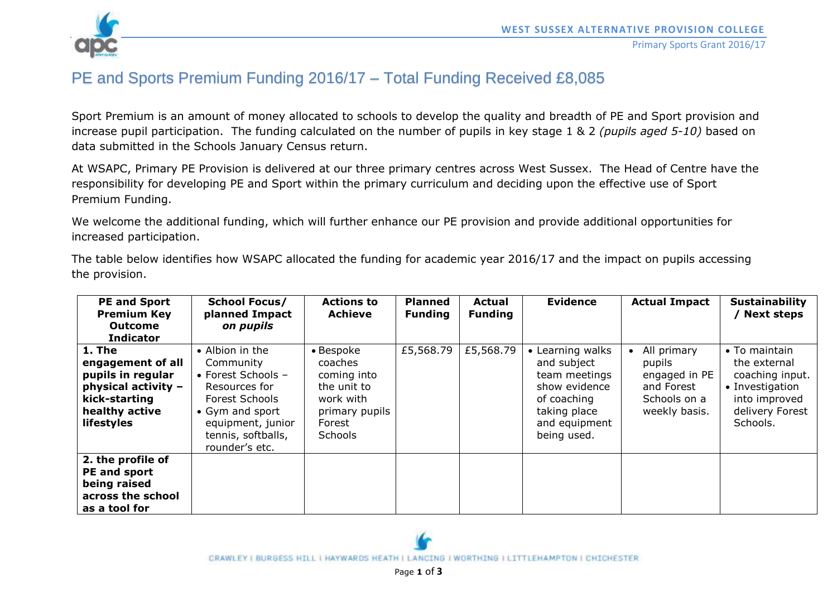

## PE and Sports Premium Funding 2016/17 – Total Funding Received £8,085

Sport Premium is an amount of money allocated to schools to develop the quality and breadth of PE and Sport provision and increase pupil participation. The funding calculated on the number of pupils in key stage 1 & 2 *(pupils aged 5-10)* based on data submitted in the Schools January Census return.

At WSAPC, Primary PE Provision is delivered at our three primary centres across West Sussex. The Head of Centre have the responsibility for developing PE and Sport within the primary curriculum and deciding upon the effective use of Sport Premium Funding.

We welcome the additional funding, which will further enhance our PE provision and provide additional opportunities for increased participation.

The table below identifies how WSAPC allocated the funding for academic year 2016/17 and the impact on pupils accessing the provision.

| <b>PE and Sport</b><br><b>Premium Key</b><br><b>Outcome</b><br><b>Indicator</b>                                          | <b>School Focus/</b><br>planned Impact<br>on pupils                                                                                                                     | <b>Actions to</b><br><b>Achieve</b>                                                                    | <b>Planned</b><br><b>Funding</b> | <b>Actual</b><br><b>Funding</b> | <b>Evidence</b>                                                                                                                  | <b>Actual Impact</b>                                                                  | <b>Sustainability</b><br>Next steps                                                                                 |
|--------------------------------------------------------------------------------------------------------------------------|-------------------------------------------------------------------------------------------------------------------------------------------------------------------------|--------------------------------------------------------------------------------------------------------|----------------------------------|---------------------------------|----------------------------------------------------------------------------------------------------------------------------------|---------------------------------------------------------------------------------------|---------------------------------------------------------------------------------------------------------------------|
| 1. The<br>engagement of all<br>pupils in regular<br>physical activity -<br>kick-starting<br>healthy active<br>lifestyles | • Albion in the<br>Community<br>• Forest Schools $-$<br>Resources for<br>Forest Schools<br>• Gym and sport<br>equipment, junior<br>tennis, softballs,<br>rounder's etc. | • Bespoke<br>coaches<br>coming into<br>the unit to<br>work with<br>primary pupils<br>Forest<br>Schools | £5,568.79                        | £5,568.79                       | • Learning walks<br>and subject<br>team meetings<br>show evidence<br>of coaching<br>taking place<br>and equipment<br>being used. | All primary<br>pupils<br>engaged in PE<br>and Forest<br>Schools on a<br>weekly basis. | • To maintain<br>the external<br>coaching input.<br>• Investigation<br>into improved<br>delivery Forest<br>Schools. |
| 2. the profile of<br>PE and sport<br>being raised<br>across the school<br>as a tool for                                  |                                                                                                                                                                         |                                                                                                        |                                  |                                 |                                                                                                                                  |                                                                                       |                                                                                                                     |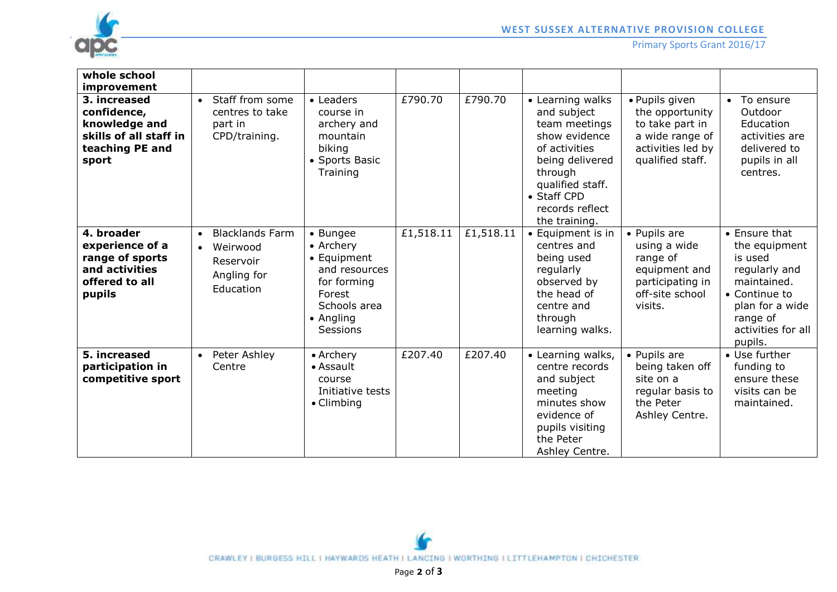

## **WEST SUSSEX ALTERNATIVE PROVISION COLLEGE**

Primary Sports Grant 2016/17

| whole school<br>improvement                                                                        |                                                                                            |                                                                                                                         |           |           |                                                                                                                                                                                         |                                                                                                                  |                                                                                                                                                            |
|----------------------------------------------------------------------------------------------------|--------------------------------------------------------------------------------------------|-------------------------------------------------------------------------------------------------------------------------|-----------|-----------|-----------------------------------------------------------------------------------------------------------------------------------------------------------------------------------------|------------------------------------------------------------------------------------------------------------------|------------------------------------------------------------------------------------------------------------------------------------------------------------|
| 3. increased<br>confidence,<br>knowledge and<br>skills of all staff in<br>teaching PE and<br>sport | Staff from some<br>$\bullet$<br>centres to take<br>part in<br>CPD/training.                | • Leaders<br>course in<br>archery and<br>mountain<br>biking<br>• Sports Basic<br>Training                               | £790.70   | £790.70   | • Learning walks<br>and subject<br>team meetings<br>show evidence<br>of activities<br>being delivered<br>through<br>qualified staff.<br>• Staff CPD<br>records reflect<br>the training. | · Pupils given<br>the opportunity<br>to take part in<br>a wide range of<br>activities led by<br>qualified staff. | To ensure<br>$\bullet$<br>Outdoor<br>Education<br>activities are<br>delivered to<br>pupils in all<br>centres.                                              |
| 4. broader<br>experience of a<br>range of sports<br>and activities<br>offered to all<br>pupils     | <b>Blacklands Farm</b><br>$\bullet$<br>• Weirwood<br>Reservoir<br>Angling for<br>Education | • Bungee<br>• Archery<br>• Equipment<br>and resources<br>for forming<br>Forest<br>Schools area<br>• Angling<br>Sessions | £1,518.11 | £1,518.11 | • Equipment is in<br>centres and<br>being used<br>regularly<br>observed by<br>the head of<br>centre and<br>through<br>learning walks.                                                   | • Pupils are<br>using a wide<br>range of<br>equipment and<br>participating in<br>off-site school<br>visits.      | • Ensure that<br>the equipment<br>is used<br>regularly and<br>maintained.<br>• Continue to<br>plan for a wide<br>range of<br>activities for all<br>pupils. |
| 5. increased<br>participation in<br>competitive sport                                              | Peter Ashley<br>$\bullet$<br>Centre                                                        | • Archery<br>• Assault<br>course<br>Initiative tests<br>$\bullet$ Climbing                                              | £207.40   | £207.40   | • Learning walks,<br>centre records<br>and subject<br>meeting<br>minutes show<br>evidence of<br>pupils visiting<br>the Peter<br>Ashley Centre.                                          | • Pupils are<br>being taken off<br>site on a<br>regular basis to<br>the Peter<br>Ashley Centre.                  | • Use further<br>funding to<br>ensure these<br>visits can be<br>maintained.                                                                                |